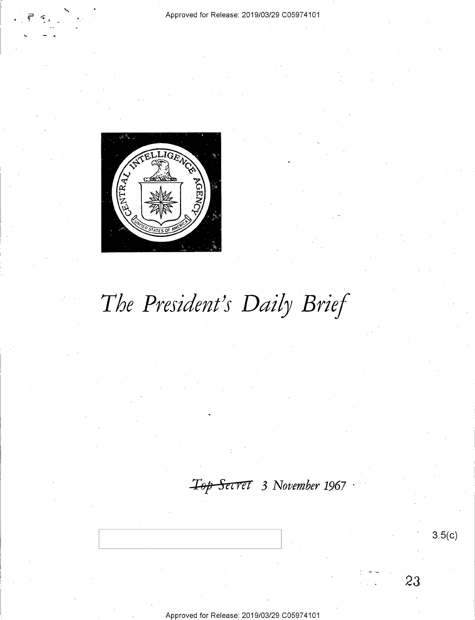

# *The President's Daily Brief*

*.XOp Sttre7 3 November 1967* ·

Approved for Release: 2019/03/29 C0597 4101

**3.5(c)** 

23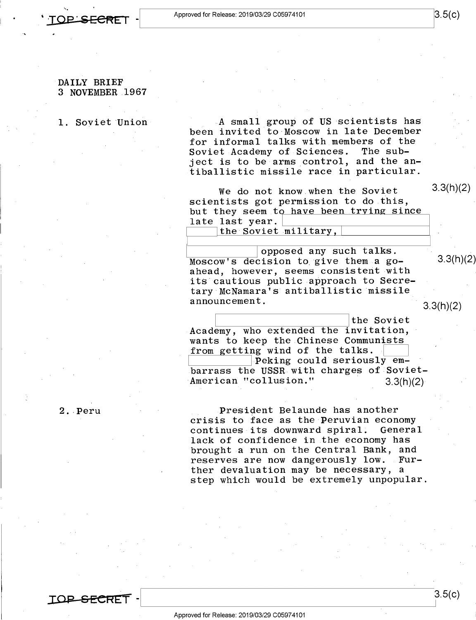

### DAILY BRIEF 3 NOVEMBER 1967

### **1.** Soviet Union

A small group of US scientists has been invited to Moscow in late December for informal talks with members of the<br>Soviet Academy of Sciences. The sub-Soviet Academy of Sciences. ject is to be arms control, and the antiballistic missile race in particular.

We do not know when the Soviet scientists got permission to do this, but they seem to have been trying since late last year. the Soviet military,

opposed any such talks.  $Moseow's decision to give them a go-$  3.3(h)(2) ahead, however, seems consistent with its cautious public approach to Secretary McNamara's antiballistic missile

announcement.<br>
3.3(h)(2)

3.3(h)(2)

eral the Soviet<br>Academy, who extended the invitation, wants to keep the Chinese Communists<br>from getting wind of the talks. from getting wind of the talks.<br>Peking could seriously embarrass the USSR with charges of-Soviet-American "collusion." 3.3(h)(2)

President Belaunde has another crisis to face as the Peruvian economy continues its downward spiral. General lack of confidence in the economy has brought a run on the Central Bank, and reserves are now dangerously low. Further devaluation may be necessary, a step which would be extremely unpopular.

2 .. Peru

**IOP SECREI-**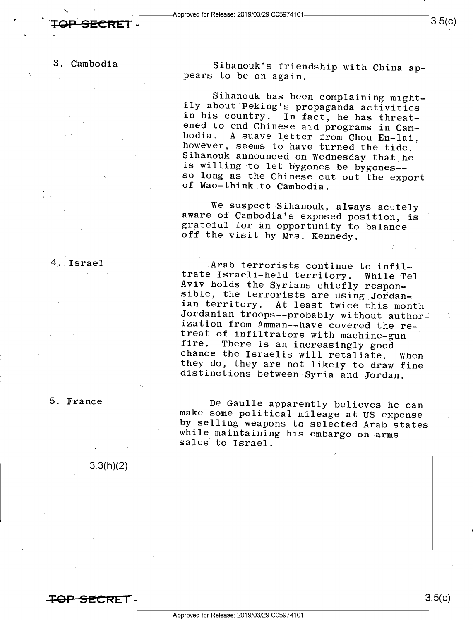'"-

### 3. Cambodia

Sihanouk's friendship with China appears to be on again.

Sihanouk has been complaining mightily about Peking's propaganda activities<br>in his country. In fact, he has threat-In fact, he has threatened to end Chinese aid programs in Cambodia. A suave letter from Chou En-lai, however, seems to have turned the tide. Sihanouk announced on Wednesday that he is willing to let bygones be bygones- so long as the Chinese cut out the export of Mao-think to Cambodia.

We suspect Sihanouk, always acutely aware of Cambodia's exposed position, is grateful for an opportunity to balance off the visit by Mrs. Kennedy.

Arab terrorists continue to infiltrate Israeli-held territory. While Tel Aviv holds the Syrians chiefly responsible, the terrorists are using Jordanian territory. At least twice this month Jordanian troops--probably without authorization from Amman--have covered the retreat of infiltrators with machine-gun<br>fire. There is an increasingly good There is an increasingly good chance the Israelis will retaliate. When they do, they are not likely to draw fine distinctions between Syria and Jordan.

De Gaulle apparently believes he can make some political mileage at US expense by selling weapons to selected Arab states while maintaining his embargo on arms sales to Israel.



. Israel

3.3(h)(2)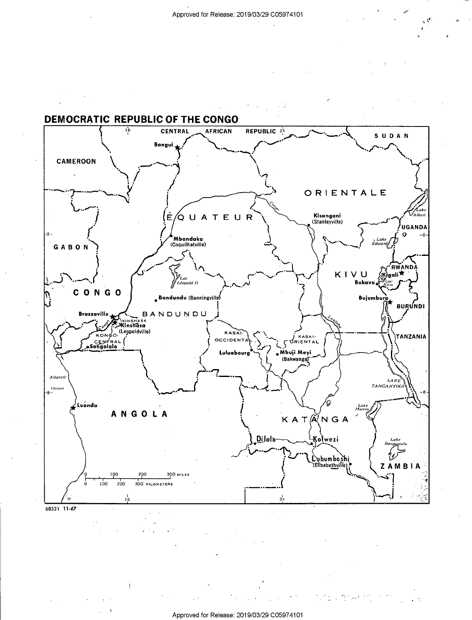

Approved for Release: 2019/03/29 C0597 4101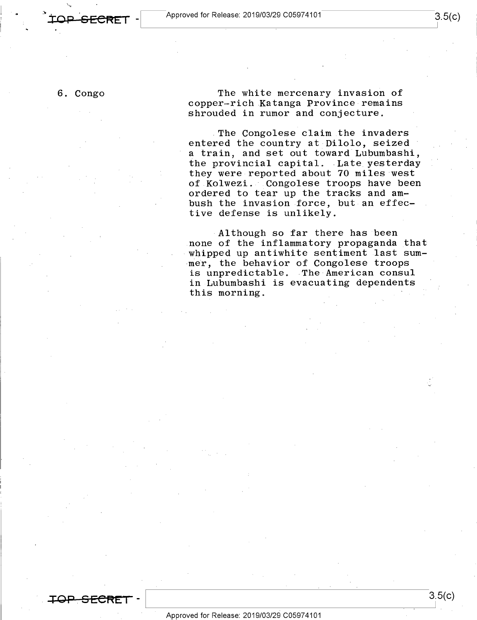6. Congo

**TOP. S EC"'e:r** -

The white mercenary invasion of copper-rich Katanga Province remains shrouded in rumor and conjecture.

The Congolese claim the invaders entered the country at Dilolo, seized a train, and set out toward Lubumbashi, the provincial capital. Late yesterday they were reported about 70 miles west of Kolwezi. Congolese troops have been ordered to tear up the tracks and ambush the invasion force, but an effective defense is unlikely.

Although so far there has been none of the inflammatory propaganda that whipped up antiwhite sentiment last sum mer, the behavior of Congolese troops is unpredictable. The American consul in Lubumbashi is evacuating dependents this morning.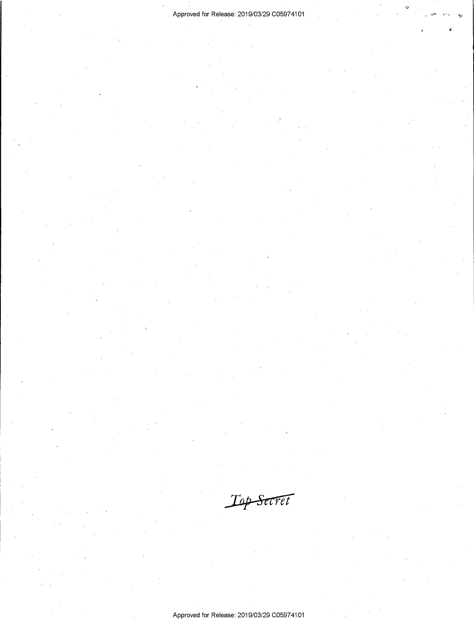Top Secret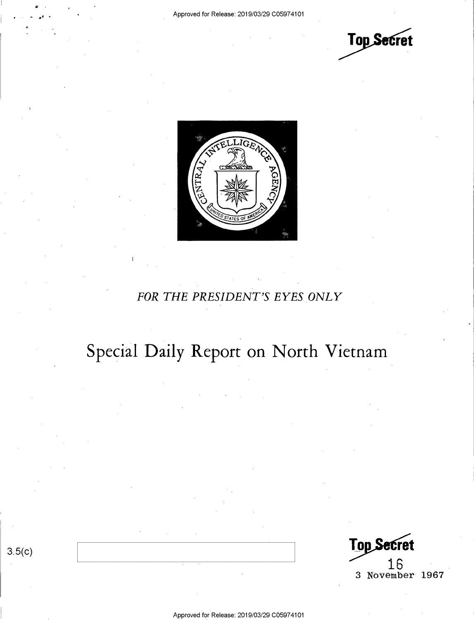**Top Secret** 



### *FOR THE PRESIDENT'S EYES ONLY*

## Special Daily Report on North Vietnam

 $rac{3.5(c)}{16}$ 16 3 November 1967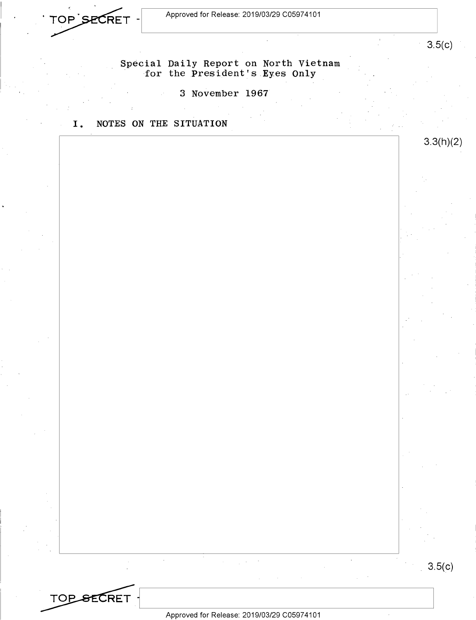Approved for Release: 2019/03/29 C0597 4101



3.5(c)

3.3(h)(2)

### Special Daily Report on North Vietnam for the President's Eyes Only

3 November 1967

I. NOTES ON THE SITUATION

3.5(c)

**TOP SECRET** 

 $\hat{\boldsymbol{\beta}}$ 

Approved for Release: 2019/03/29 C0597 4101

 $\mathcal{A}^{\mathcal{A}}$  and  $\mathcal{A}^{\mathcal{A}}$  are  $\mathcal{A}^{\mathcal{A}}$  . In the  $\mathcal{A}^{\mathcal{A}}$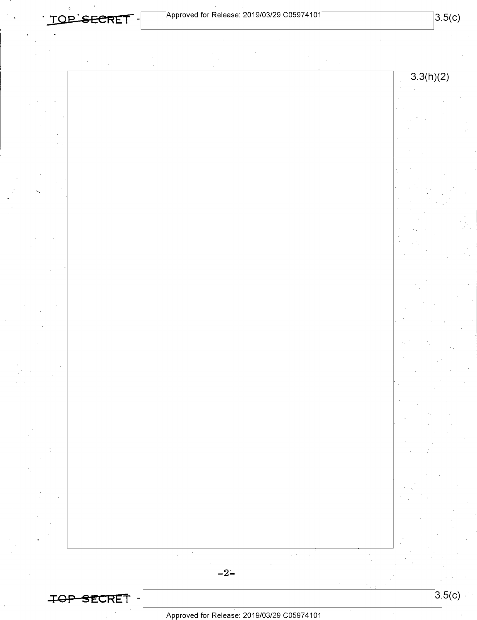. **TQP.eECRE1-**



Approved for Release: 2019/03/29 C0597 4101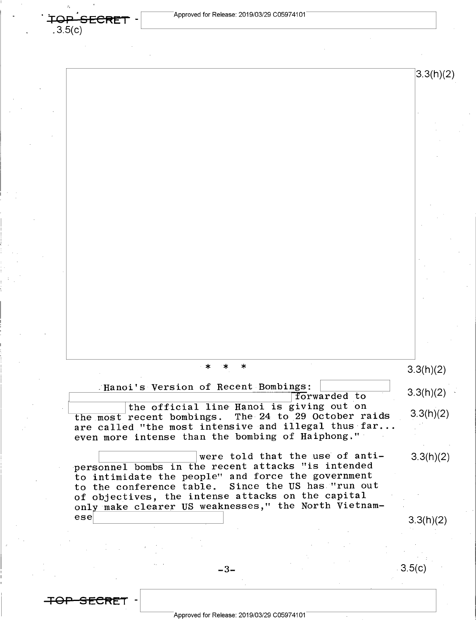$3.3(h)(2)$ 

**TOP SECRET** 

 $.3.5(c)$ 

| ∗                                                                                                         | 3.3(h)(2) |
|-----------------------------------------------------------------------------------------------------------|-----------|
| Hanoi's Version of Recent Bombings:                                                                       | 3.3(h)(2) |
| forwarded to<br>the official line Hanoi is giving out on                                                  |           |
| The 24 to 29 October raids<br>the most recent bombings.                                                   | 3.3(h)(2) |
| are called "the most intensive and illegal thus far                                                       |           |
| even more intense than the bombing of Haiphong."                                                          |           |
| were told that the use of anti-                                                                           | 3.3(h)(2) |
| personnel bombs in the recent attacks "is intended<br>to intimidate the people" and force the government  |           |
| Since the US has "run out<br>to the conference table.                                                     |           |
| of objectives, the intense attacks on the capital<br>only make clearer US weaknesses," the North Vietnam- |           |
| ese                                                                                                       | 3.3(h)(2) |
|                                                                                                           |           |
|                                                                                                           |           |
|                                                                                                           |           |
|                                                                                                           | 3.5(c)    |
| -3-                                                                                                       |           |

Approved for Release: 2019/03/29 C0597 4101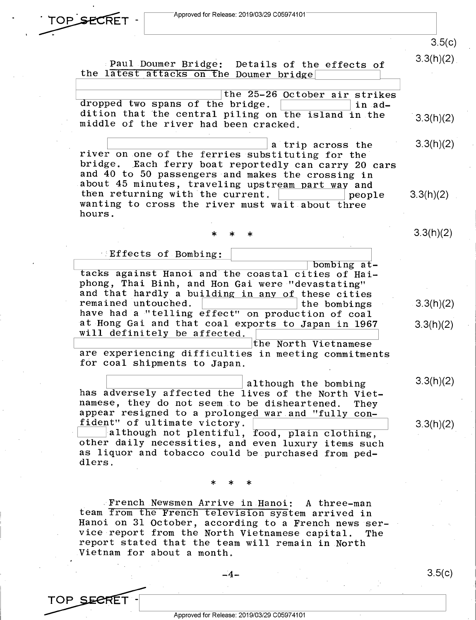

3.5(c)

 $3.3(h)(2)$ 

3.3(h)(2)

3.3(h)(2)

3.3(h)(2)

 $3.3(h)(2)$ 

3.3(h)(2)

Paul Doumer Bridge: Details of the effects of the latest attacks on the Doumer bridge

the 25-26 October air strikes<br>
dropped two spans of the bridge.<br>
dition that the control piling on the induction dropped two spans of the bridge.<br>dition that the central piling on the island in the  $3.3(h)(2)$ middle of the river had been cracked.

 $\begin{array}{|l|l|l|}\n\hline\n\end{array}$  a trip across the 3.3(h)(2) river on one of the ferries substituting for the a trip across the<br>river on one of the ferries substituting for the<br>bridge. Each ferry boat reportedly can carry 20 cars and 40 to 50 passengers and makes the crossing in about 45 minutes, traveling upstream part way and then returning with the current.  $\boxed{\qquad}$  people 3.3(h)(2) wanting to cross the river must wait about three hours.

\* \* \*

Effects of Bombing:

<sup>I</sup>bombing at- '-------.--~--~-~~-~--~~--------c-~-~ tacks against Hanoi and the coastal cities of Haiphong, Thai Binh, and Hon Gai were "devastating" and that hardly a building in any of these cities remained untouched. remained untouched. have had a "telling effect" on production of coal at Hong Gai and that coal exports to Japan in 1967 will definitely be affected. the North Vietnamese

are experiencing difficulties in meeting commitments for coal shipments to Japan.

although the bombing<br>
ducksoly offected the lines of the Newth Wid has adversely affected the lives of the North Vietnamese, they do not seem to be disheartened. They appear resigned to a prolonged war and "fully con-<br>fident" of ultimate victory. fident" of ultimate victory.<br>
although not plentiful, food, plain clothing,

other daily necessities, and even luxury items such as liquor and tobacco could be purchased from peddlers.

\* \* \*

. French Newsmen Arrive in Hanoi: A three-man team from the French television system arrived in Hanoi on 31 October, according to a French news service report from the North Vietnamese capital. The report stated that the team will remain in North Vietnam for about a month.

TOP SECRET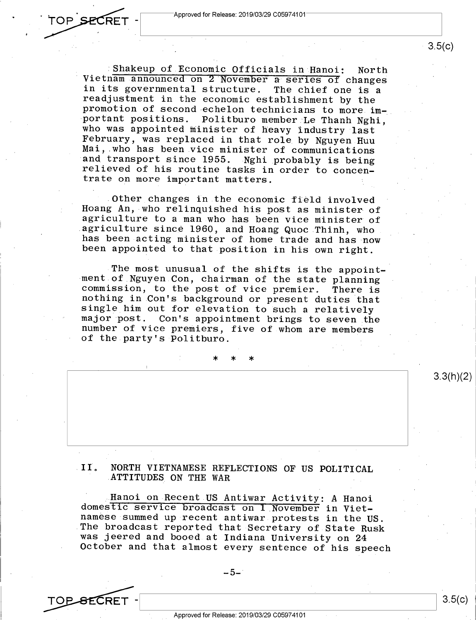Approved for Release: 2019/03/29 C0597 4101

:Shakeup of Economic Officials in Hanoi: North Vietnam announced on 2 November a series of changes in its governmental structure. The chief one is <sup>a</sup> readjustment in the economic establishment by the promotion of second echelon technicians to more important positions. Politburo member Le Thanh Nghi, who was appointed minister of heavy industry last February, was replaced in that role by Nguyen Huu Mai, who has been vice minister of communications and transport since 1955. Nghi probably is being relieved of his routine tasks in order to concentrate on more important matters.

Other changes in the economic field involved Hoang An, who relinquished his post as minister of agriculture to a man who has been vice minister of .agriculture since 1960, and Hoang Quoc Thinh, who has been acting minister of home trade and has now been appointed to that position in his own right.

The most unusual of the shifts is the appointment of Nguyen Con, chairman of the state planning commission, to the post of vice premier. There is nothing in Con's background or present duties that single him out for elevation to such a relatively major post. Con's appointment brings to seven the number of vice premiers, five of whom are members of the party's Politburo.

\* \* \*

### <sup>I</sup>**l. NORTH VIETNAMESE REFLECTIONS OF US POLITICAL**  ATTITUDES ON THE WAR

Hanoi on Recent US Antiwar Activity: A Hanoi domestic service broadcast on 1 November in Vietnamese summed up recent antiwar protests in the US. The broadcast reported that Secretary of State Rusk was jeered and booed at Indiana University on <sup>24</sup> October and that almost every sentence of his speech

 $-5-$ 

Approved for Release: 2019/03/29 C0597 4101

TOP SECRET

3.3(h)(2)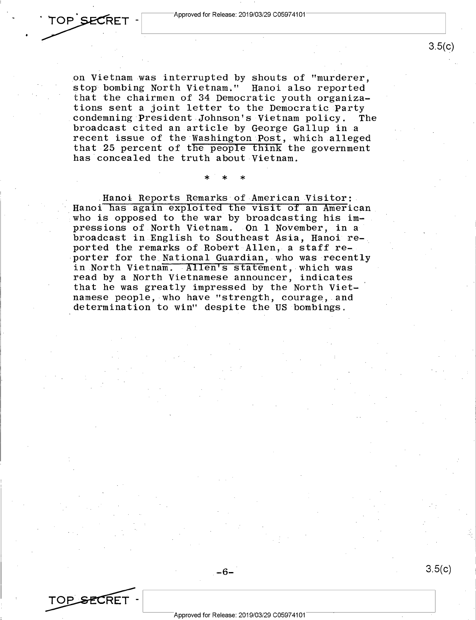on Vietnam was interrupted by shouts of "murderer, stop bombing North Vietnam." Hanoi also reported that the chairmen of 34 Democratic youth organizations sent a joint letter to the Democratic Party condemning President Johnson's Vietnam policy. The broadcast cited an article by George Gallup in a recent issue of the Washington Post, which alleged that 25 percent of the people think the government has concealed the truth about Vietnam.

\* \* \*

Hanoi Reports Remarks of American Visitor: Hanoi has again exploited the visit of an American who is opposed to the war by broadcasting his impressions of North Vietnam. On 1 November, in a broadcast in English to Southeast Asia, Hanoi reported the remarks of Robert Allen, a staff reporter for the\_National Guardian, who was recently in North Vietnam. Allen's statement, which was read by a North Vietnamese announcer, indicates that he was greatly impressed by the North Vietnamese people, who have "strength, courage, and determination to win" despite the US bombings.

-6-